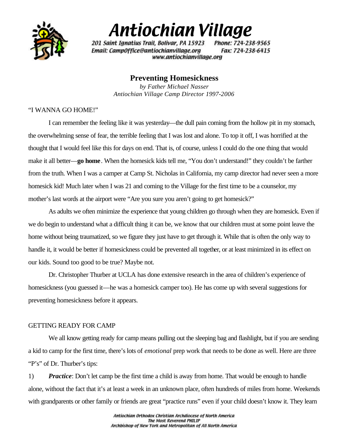

# Antiochian Village

201 Saint Ignatius Trail, Bolivar, PA 15923 Phone: 724-238-9565 Fax: 724-238-6415 Email: Camp0ffice@antiochianvillage.org www.antiochianvillage.org

## **Preventing Homesickness**

*by Father Michael Nasser Antiochian Village Camp Director 1997-2006*

#### "I WANNA GO HOME!"

I can remember the feeling like it was yesterday—the dull pain coming from the hollow pit in my stomach, the overwhelming sense of fear, the terrible feeling that I was lost and alone. To top it off, I was horrified at the thought that I would feel like this for days on end. That is, of course, unless I could do the one thing that would make it all better—**go home**. When the homesick kids tell me, "You don't understand!" they couldn't be farther from the truth. When I was a camper at Camp St. Nicholas in California, my camp director had never seen a more homesick kid! Much later when I was 21 and coming to the Village for the first time to be a counselor, my mother's last words at the airport were "Are you sure you aren't going to get homesick?"

As adults we often minimize the experience that young children go through when they are homesick. Even if we do begin to understand what a difficult thing it can be, we know that our children must at some point leave the home without being traumatized, so we figure they just have to get through it. While that is often the only way to handle it, it would be better if homesickness could be prevented all together, or at least minimized in its effect on our kids. Sound too good to be true? Maybe not.

Dr. Christopher Thurber at UCLA has done extensive research in the area of children's experience of homesickness (you guessed it—he was a homesick camper too). He has come up with several suggestions for preventing homesickness before it appears.

### GETTING READY FOR CAMP

We all know getting ready for camp means pulling out the sleeping bag and flashlight, but if you are sending a kid to camp for the first time, there's lots of *emotional* prep work that needs to be done as well. Here are three "P's" of Dr. Thurber's tips:

1) *Practice*: Don't let camp be the first time a child is away from home. That would be enough to handle alone, without the fact that it's at least a week in an unknown place, often hundreds of miles from home. Weekends with grandparents or other family or friends are great "practice runs" even if your child doesn't know it. They learn